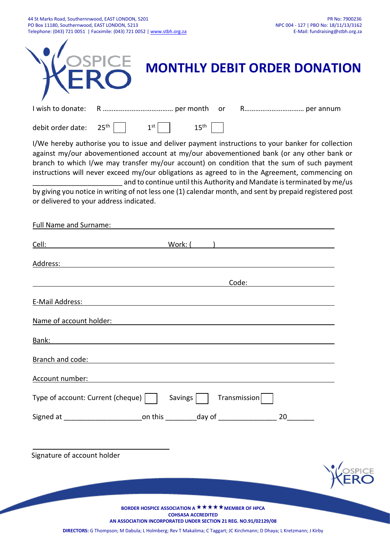| 44 St Marks Road, Southernnwood, EAST LONDON, 5201                      | PR No: 7900236                        |
|-------------------------------------------------------------------------|---------------------------------------|
| PO Box 11180. Southernwood. EAST LONDON. 5213                           | NPC 004 - 127   PBO No: 18/11/13/3162 |
| Telephone: (043) 721 0051   Facximile: (043) 721 0052   www.stbh.org.za | E-Mail: fundraising@stbh.org.za       |

۳

| I wish to donate:<br>or                                                                                                                                                                                                                                                                                                                                                                                                                                                    |
|----------------------------------------------------------------------------------------------------------------------------------------------------------------------------------------------------------------------------------------------------------------------------------------------------------------------------------------------------------------------------------------------------------------------------------------------------------------------------|
|                                                                                                                                                                                                                                                                                                                                                                                                                                                                            |
| 25 <sup>th</sup><br>1 <sup>st</sup><br>15 <sup>th</sup><br>debit order date:                                                                                                                                                                                                                                                                                                                                                                                               |
| I/We hereby authorise you to issue and deliver payment instructions to your banker for collection<br>against my/our abovementioned account at my/our abovementioned bank (or any other bank or<br>branch to which I/we may transfer my/our account) on condition that the sum of such payment<br>instructions will never exceed my/our obligations as agreed to in the Agreement, commencing on<br>and to continue until this Authority and Mandate is terminated by me/us |
| by giving you notice in writing of not less one (1) calendar month, and sent by prepaid registered post<br>or delivered to your address indicated.                                                                                                                                                                                                                                                                                                                         |
| Full Name and Surname:                                                                                                                                                                                                                                                                                                                                                                                                                                                     |
| Work: (<br>Cell:                                                                                                                                                                                                                                                                                                                                                                                                                                                           |
| Address:                                                                                                                                                                                                                                                                                                                                                                                                                                                                   |
| Code:                                                                                                                                                                                                                                                                                                                                                                                                                                                                      |
| E-Mail Address:                                                                                                                                                                                                                                                                                                                                                                                                                                                            |
| Name of account holder:                                                                                                                                                                                                                                                                                                                                                                                                                                                    |
| Bank:                                                                                                                                                                                                                                                                                                                                                                                                                                                                      |
| Branch and code:<br><u> 1989 - Johann Stoff, deutscher Stoffen und der Stoffen und der Stoffen und der Stoffen und der Stoffen und der</u>                                                                                                                                                                                                                                                                                                                                 |
| Account number:                                                                                                                                                                                                                                                                                                                                                                                                                                                            |
| Type of account: Current (cheque)     Savings    <br>Transmission                                                                                                                                                                                                                                                                                                                                                                                                          |
| $20 \qquad \qquad$                                                                                                                                                                                                                                                                                                                                                                                                                                                         |
|                                                                                                                                                                                                                                                                                                                                                                                                                                                                            |
| Signature of account holder                                                                                                                                                                                                                                                                                                                                                                                                                                                |
|                                                                                                                                                                                                                                                                                                                                                                                                                                                                            |
|                                                                                                                                                                                                                                                                                                                                                                                                                                                                            |
| BORDER HOSPICE ASSOCIATION A ★ ★ ★ ★ ★ MEMBER OF HPCA                                                                                                                                                                                                                                                                                                                                                                                                                      |
| <b>COHSASA ACCREDITED</b><br>AN ASSOCIATION INCORPORATED UNDER SECTION 21 REG. NO.91/02129/08<br>DIRECTORS: G Thompson; M Dabula; L Holmberg; Rev T Makalima; C Taggart; JC Kirchmann; D Dhaya; L Kretzmann; J Kirby                                                                                                                                                                                                                                                       |